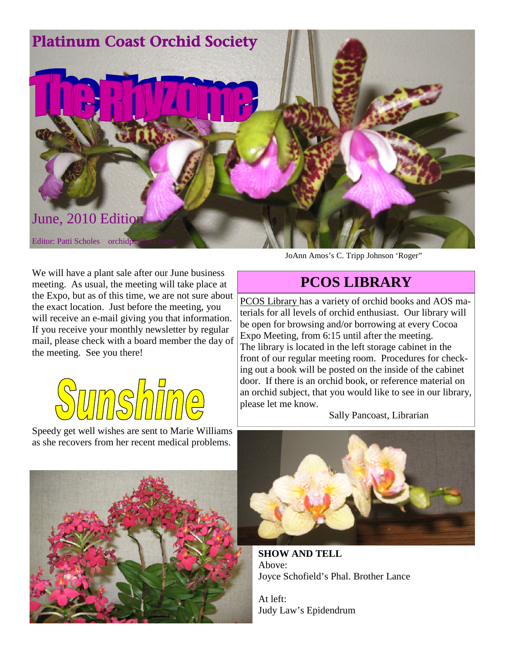

We will have a plant sale after our June business meeting. As usual, the meeting will take place at the Expo, but as of this time, we are not sure about the exact location. Just before the meeting, you will receive an e-mail giving you that information. If you receive your monthly newsletter by regular mail, please check with a board member the day of the meeting. See you there!



Speedy get well wishes are sent to Marie Williams as she recovers from her recent medical problems.



JoAnn Amos's C. Tripp Johnson 'Roger"

# **PCOS LIBRARY**

PCOS Library has a variety of orchid books and AOS materials for all levels of orchid enthusiast. Our library will be open for browsing and/or borrowing at every Cocoa Expo Meeting, from 6:15 until after the meeting. The library is located in the left storage cabinet in the front of our regular meeting room. Procedures for checking out a book will be posted on the inside of the cabinet door. If there is an orchid book, or reference material on an orchid subject, that you would like to see in our library, please let me know.

Sally Pancoast, Librarian



**SHOW AND TELL** Above: Joyce Schofield's Phal. Brother Lance

At left: Judy Law's Epidendrum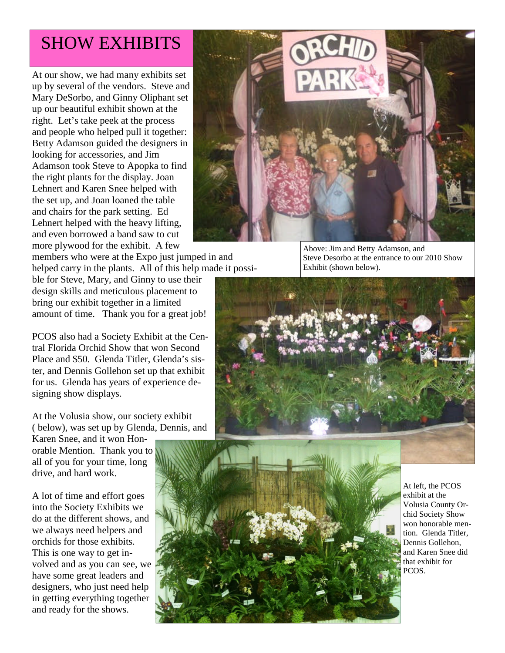# SHOW EXHIBITS

At our show, we had many exhibits set up by several of the vendors. Steve and Mary DeSorbo, and Ginny Oliphant set up our beautiful exhibit shown at the right. Let's take peek at the process and people who helped pull it together: Betty Adamson guided the designers in looking for accessories, and Jim Adamson took Steve to Apopka to find the right plants for the display. Joan Lehnert and Karen Snee helped with the set up, and Joan loaned the table and chairs for the park setting. Ed Lehnert helped with the heavy lifting, and even borrowed a band saw to cut more plywood for the exhibit. A few

members who were at the Expo just jumped in and helped carry in the plants. All of this help made it possi-

ble for Steve, Mary, and Ginny to use their design skills and meticulous placement to bring our exhibit together in a limited amount of time. Thank you for a great job!

PCOS also had a Society Exhibit at the Central Florida Orchid Show that won Second Place and \$50. Glenda Titler, Glenda's sister, and Dennis Gollehon set up that exhibit for us. Glenda has years of experience designing show displays.

At the Volusia show, our society exhibit ( below), was set up by Glenda, Dennis, and

Karen Snee, and it won Honorable Mention. Thank you to all of you for your time, long drive, and hard work.

A lot of time and effort goes into the Society Exhibits we do at the different shows, and we always need helpers and orchids for those exhibits. This is one way to get involved and as you can see, we have some great leaders and designers, who just need help in getting everything together and ready for the shows.



Above: Jim and Betty Adamson, and Steve Desorbo at the entrance to our 2010 Show Exhibit (shown below).





At left, the PCOS exhibit at the Volusia County Orchid Society Show won honorable mention. Glenda Titler, Dennis Gollehon, and Karen Snee did that exhibit for PCOS.